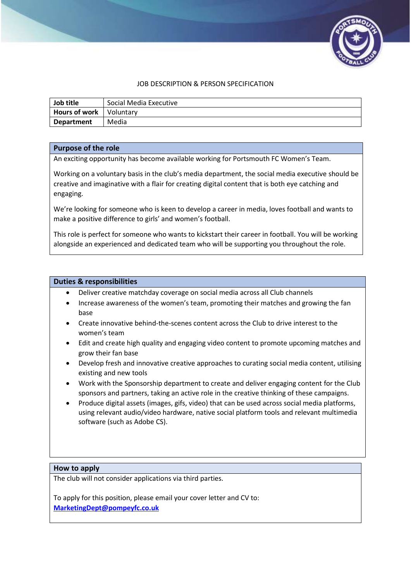

## JOB DESCRIPTION & PERSON SPECIFICATION

| Job title                        | Social Media Executive |
|----------------------------------|------------------------|
| <b>Hours of work</b>   Voluntary |                        |
| <b>Department</b>                | Media                  |

#### **Purpose of the role**

An exciting opportunity has become available working for Portsmouth FC Women's Team.

Working on a voluntary basis in the club's media department, the social media executive should be creative and imaginative with a flair for creating digital content that is both eye catching and engaging.

We're looking for someone who is keen to develop a career in media, loves football and wants to make a positive difference to girls' and women's football.

This role is perfect for someone who wants to kickstart their career in football. You will be working alongside an experienced and dedicated team who will be supporting you throughout the role.

#### **Duties & responsibilities**

- Deliver creative matchday coverage on social media across all Club channels
- Increase awareness of the women's team, promoting their matches and growing the fan base
- Create innovative behind-the-scenes content across the Club to drive interest to the women's team
- Edit and create high quality and engaging video content to promote upcoming matches and grow their fan base
- Develop fresh and innovative creative approaches to curating social media content, utilising existing and new tools
- Work with the Sponsorship department to create and deliver engaging content for the Club sponsors and partners, taking an active role in the creative thinking of these campaigns.
- Produce digital assets (images, gifs, video) that can be used across social media platforms, using relevant audio/video hardware, native social platform tools and relevant multimedia software (such as Adobe CS).

#### **How to apply**

The club will not consider applications via third parties.

To apply for this position, please email your cover letter and CV to: **[MarketingDept@pompeyfc.co.uk](mailto:MarketingDept@pompeyfc.co.uk)**